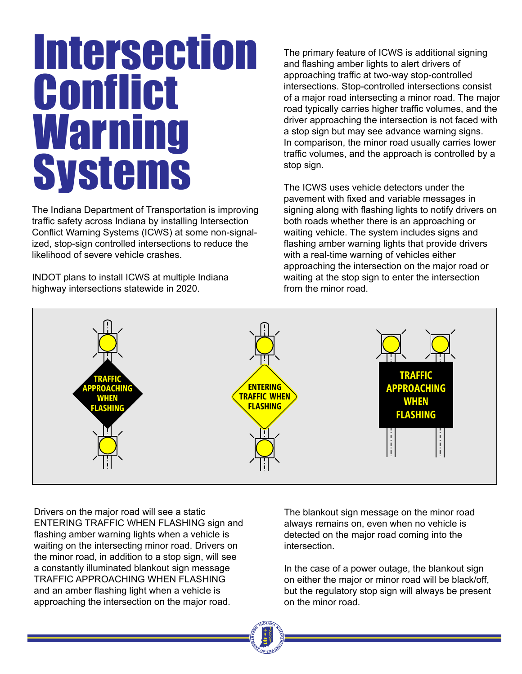# Intersection **Conflict<br>Warning** Systems

The Indiana Department of Transportation is improving traffic safety across Indiana by installing Intersection Conflict Warning Systems (ICWS) at some non-signalized, stop-sign controlled intersections to reduce the likelihood of severe vehicle crashes.

INDOT plans to install ICWS at multiple Indiana highway intersections statewide in 2020.

The primary feature of ICWS is additional signing and flashing amber lights to alert drivers of approaching traffic at two-way stop-controlled intersections. Stop-controlled intersections consist of a major road intersecting a minor road. The major road typically carries higher traffic volumes, and the driver approaching the intersection is not faced with a stop sign but may see advance warning signs. In comparison, the minor road usually carries lower traffic volumes, and the approach is controlled by a stop sign.

The ICWS uses vehicle detectors under the pavement with fixed and variable messages in signing along with flashing lights to notify drivers on both roads whether there is an approaching or waiting vehicle. The system includes signs and flashing amber warning lights that provide drivers with a real-time warning of vehicles either approaching the intersection on the major road or waiting at the stop sign to enter the intersection from the minor road.



Drivers on the major road will see a static ENTERING TRAFFIC WHEN FLASHING sign and flashing amber warning lights when a vehicle is waiting on the intersecting minor road. Drivers on the minor road, in addition to a stop sign, will see a constantly illuminated blankout sign message TRAFFIC APPROACHING WHEN FLASHING and an amber flashing light when a vehicle is approaching the intersection on the major road.

The blankout sign message on the minor road always remains on, even when no vehicle is detected on the major road coming into the intersection.

In the case of a power outage, the blankout sign on either the major or minor road will be black/off, but the regulatory stop sign will always be present on the minor road.